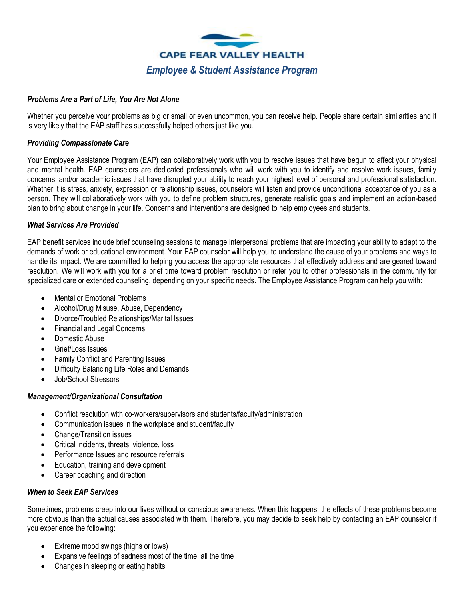

# *Problems Are a Part of Life, You Are Not Alone*

Whether you perceive your problems as big or small or even uncommon, you can receive help. People share certain similarities and it is very likely that the EAP staff has successfully helped others just like you.

# *Providing Compassionate Care*

Your Employee Assistance Program (EAP) can collaboratively work with you to resolve issues that have begun to affect your physical and mental health. EAP counselors are dedicated professionals who will work with you to identify and resolve work issues, family concerns, and/or academic issues that have disrupted your ability to reach your highest level of personal and professional satisfaction. Whether it is stress, anxiety, expression or relationship issues, counselors will listen and provide unconditional acceptance of you as a person. They will collaboratively work with you to define problem structures, generate realistic goals and implement an action-based plan to bring about change in your life. Concerns and interventions are designed to help employees and students.

# *What Services Are Provided*

EAP benefit services include brief counseling sessions to manage interpersonal problems that are impacting your ability to adapt to the demands of work or educational environment. Your EAP counselor will help you to understand the cause of your problems and ways to handle its impact. We are committed to helping you access the appropriate resources that effectively address and are geared toward resolution. We will work with you for a brief time toward problem resolution or refer you to other professionals in the community for specialized care or extended counseling, depending on your specific needs. The Employee Assistance Program can help you with:

- Mental or Emotional Problems
- Alcohol/Drug Misuse, Abuse, Dependency
- Divorce/Troubled Relationships/Marital Issues
- Financial and Legal Concerns
- Domestic Abuse
- Grief/Loss Issues
- Family Conflict and Parenting Issues
- Difficulty Balancing Life Roles and Demands
- Job/School Stressors

### *Management/Organizational Consultation*

- Conflict resolution with co-workers/supervisors and students/faculty/administration
- Communication issues in the workplace and student/faculty
- Change/Transition issues
- Critical incidents, threats, violence, loss
- Performance Issues and resource referrals
- Education, training and development
- Career coaching and direction

### *When to Seek EAP Services*

Sometimes, problems creep into our lives without or conscious awareness. When this happens, the effects of these problems become more obvious than the actual causes associated with them. Therefore, you may decide to seek help by contacting an EAP counselor if you experience the following:

- Extreme mood swings (highs or lows)
- Expansive feelings of sadness most of the time, all the time
- Changes in sleeping or eating habits